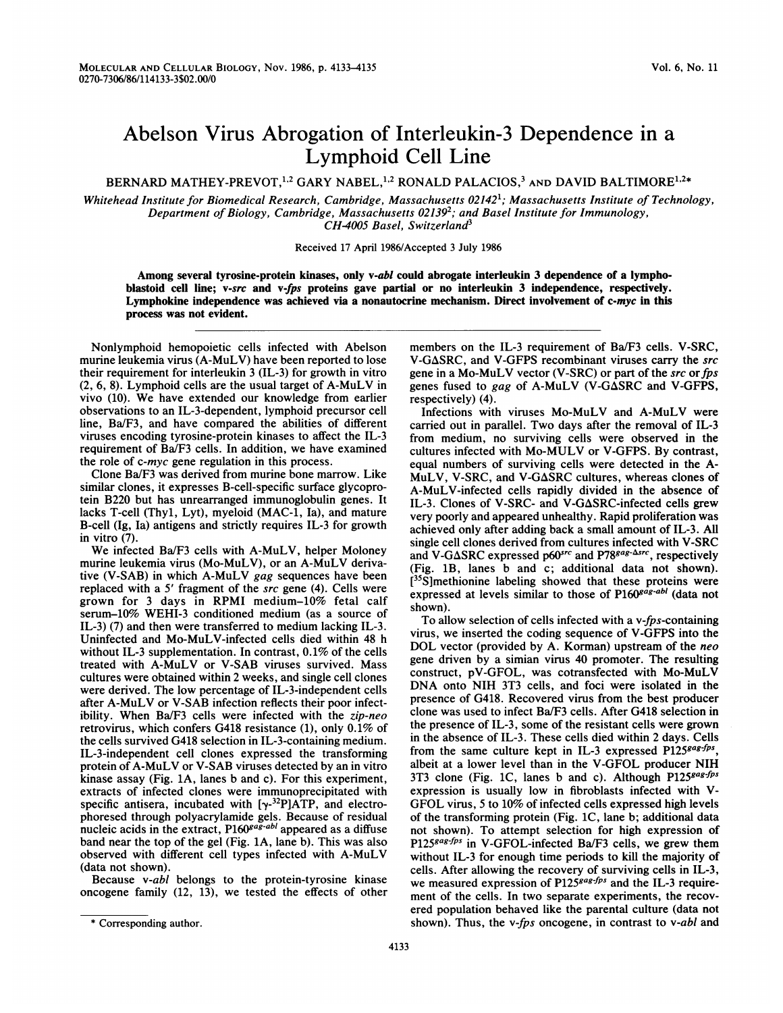## Abelson Virus Abrogation of Interleukin-3 Dependence in a Lymphoid Cell Line

BERNARD MATHEY-PREVOT,<sup>1,2</sup> GARY NABEL,<sup>1,2</sup> RONALD PALACIOS,<sup>3</sup> AND DAVID BALTIMORE<sup>1,2\*</sup>

Whitehead Institute for Biomedical Research, Cambridge, Massachusetts 02142<sup>1</sup>; Massachusetts Institute of Technology, Department of Biology, Cambridge, Massachusetts 02139<sup>2</sup>; and Basel Institute for Immunology, CH-4005 Basel, Switzerland<sup>3</sup>

Received 17 April 1986/Accepted 3 July 1986

Among several tyrosine-protein kinases, only v-abl could abrogate interleukin 3 dependence of a lymphoblastoid cell line; v-src and v-fps proteins gave partial or no interleukin 3 independence, respectively. Lymphokine independence was achieved via a nonautocrine mechanism. Direct involvement of c-myc in this process was not evident.

Nonlymphoid hemopoietic cells infected with Abelson murine leukemia virus (A-MuLV) have been reported to lose their requirement for interleukin 3 (IL-3) for growth in vitro (2, 6, 8). Lymphoid cells are the usual target of A-MuLV in vivo (10). We have extended our knowledge from earlier observations to an IL-3-dependent, lymphoid precursor cell line, Ba/F3, and have compared the abilities of different viruses encoding tyrosine-protein kinases to affect the IL-3 requirement of Ba/F3 cells. In addition, we have examined the role of c-myc gene regulation in this process.

Clone Ba/F3 was derived from murine bone marrow. Like similar clones, it expresses B-cell-specific surface glycoprotein B220 but has unrearranged immunoglobulin genes. It lacks T-cell (Thyl, Lyt), myeloid (MAC-1, Ia), and mature B-cell (Ig, Ia) antigens and strictly requires IL-3 for growth in vitro (7).

We infected Ba/F3 cells with A-MuLV, helper Moloney murine leukemia virus (Mo-MuLV), or an A-MuLV derivative (V-SAB) in which A-MuLV gag sequences have been replaced with a <sup>5</sup>' fragment of the src gene (4). Cells were grown for <sup>3</sup> days in RPMI medium-10% fetal calf serum-10% WEHI-3 conditioned medium (as a source of IL-3) (7) and then were transferred to medium lacking IL-3. Uninfected and Mo-MuLV-infected cells died within 48 h without IL-3 supplementation. In contrast, 0.1% of the cells treated with A-MuLV or V-SAB viruses survived. Mass cultures were obtained within 2 weeks, and single cell clones were derived. The low percentage of IL-3-independent cells after A-MuLV or V-SAB infection reflects their poor infectibility. When Ba/F3 cells were infected with the zip-neo retrovirus, which confers G418 resistance (1), only 0.1% of the cells survived G418 selection in IL-3-containing medium. IL-3-independent cell clones expressed the transforming protein of A-MuLV or V-SAB viruses detected by an in vitro kinase assay (Fig. 1A, lanes b and c). For this experiment, extracts of infected clones were immunoprecipitated with specific antisera, incubated with  $[\gamma^{-32}P]ATP$ , and electrophoresed through polyacrylamide gels. Because of residual nucleic acids in the extract, P160<sup>gag-abl</sup> appeared as a diffuse band near the top of the gel (Fig. 1A, lane b). This was also observed with different cell types infected with A-MuLV (data not shown).

Because v-abl belongs to the protein-tyrosine kinase oncogene family (12, 13), we tested the effects of other members on the IL-3 requirement of Ba/F3 cells. V-SRC, V-GASRC, and V-GFPS recombinant viruses carry the src gene in a Mo-MuLV vector (V-SRC) or part of the src or fps genes fused to gag of A-MuLV (V-GASRC and V-GFPS, respectively) (4).

Infections with viruses Mo-MuLV and A-MuLV were carried out in parallel. Two days after the removal of IL-3 from medium, no surviving cells were observed in the cultures infected with Mo-MULV or V-GFPS. By contrast, equal numbers of surviving cells were detected in the A-MuLV, V-SRC, and V-GASRC cultures, whereas clones of A-MuLV-infected cells rapidly divided in the absence of IL-3. Clones of V-SRC- and V-GASRC-infected cells grew very poorly and appeared unhealthy. Rapid proliferation was achieved only after adding back a small amount of IL-3. All single cell clones derived from cultures infected with V-SRC and V-G $\Delta$ SRC expressed p60src and P78<sup>gag- $\Delta$ src, respectively</sup> (Fig. 1B, lanes b and c; additional data not shown).  $[35S]$ methionine labeling showed that these proteins were expressed at levels similar to those of P160<sup>gag-abl</sup> (data not shown).

To allow selection of cells infected with a v-fps-containing virus, we inserted the coding sequence of V-GFPS into the DOL vector (provided by A. Korman) upstream of the neo gene driven by a simian virus 40 promoter. The resulting construct, pV-GFOL, was cotransfected with Mo-MuLV DNA onto NIH 3T3 cells, and foci were isolated in the presence of G418. Recovered virus from the best producer clone was used to infect Ba/F3 cells. After G418 selection in the presence of IL-3, some of the resistant cells were grown in the absence of IL-3. These cells died within 2 days. Cells from the same culture kept in IL-3 expressed  $P125^{gag-fps}$ , albeit at a lower level than in the V-GFOL producer NIH 3T3 clone (Fig. 1C, lanes b and c). Although P125<sup>gag-fps</sup> expression is usually low in fibroblasts infected with V-GFOL virus, <sup>5</sup> to 10% of infected cells expressed high levels of the transforming protein (Fig. 1C, lane b; additional data not shown). To attempt selection for high expression of P125gag-fps in V-GFOL-infected Ba/F3 cells, we grew them without IL-3 for enough time periods to kill the majority of cells. After allowing the recovery of surviving cells in IL-3, we measured expression of  $P125^{gag-fps}$  and the IL-3 requirement of the cells. In two separate experiments, the recovered population behaved like the parental culture (data not shown). Thus, the v-fps oncogene, in contrast to v-abl and

<sup>\*</sup> Corresponding author.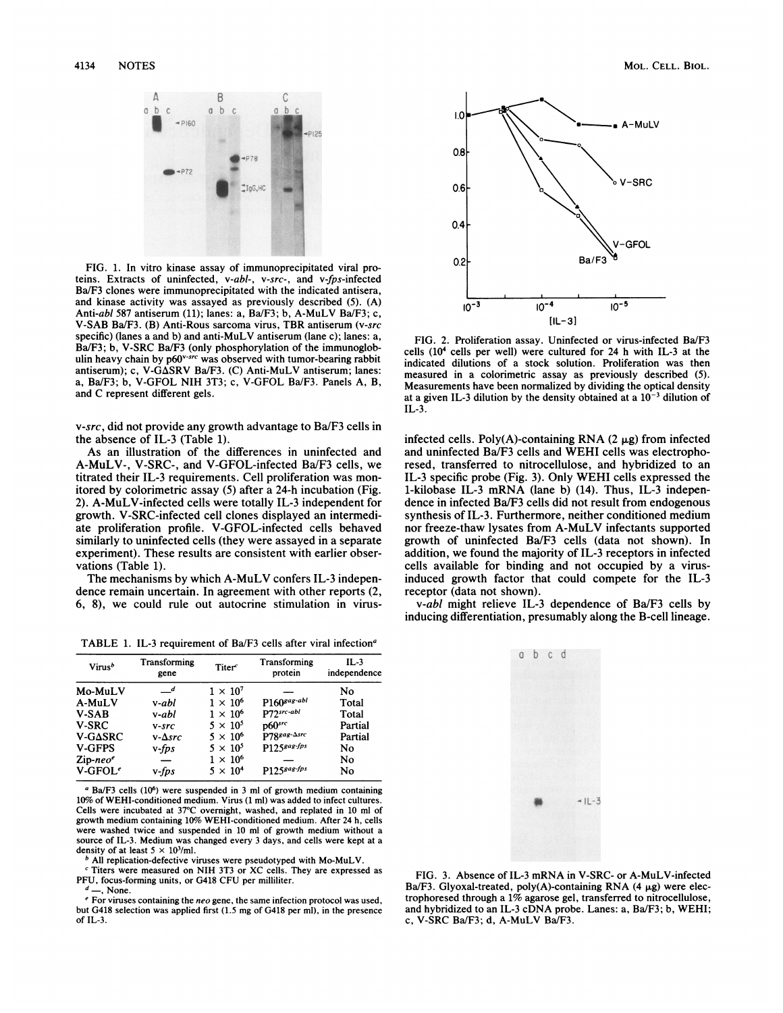

FIG. 1. In vitro kinase assay of immunoprecipitated viral proteins. Extracts of uninfected, v-abl-, v-src-, and v-fps-infected Ba/F3 clones were immunoprecipitated with the indicated antisera, and kinase activity was assayed as previously described (5). (A) Anti-abl 587 antiserum (11); lanes: a, Ba/F3; b, A-MuLV Ba/F3; c, V-SAB Ba/F3. (B) Anti-Rous sarcoma virus, TBR antiserum (v-src specific) (lanes a and b) and anti-MuLV antiserum (lane c); lanes: a, Ba/F3; b, V-SRC Ba/F3 (only phosphorylation of the immunoglobulin heavy chain by p60<sup>v-src</sup> was observed with tumor-bearing rabbit antiserum); c, V-G $\Delta$ SRV Ba/F3. (C) Anti-MuLV antiserum; lanes: a, Ba/F3; b, V-GFOL NIH 3T3; c, V-GFOL Ba/F3. Panels A, B, and C represent different gels.

v-src, did not provide any growth advantage to Ba/F3 cells in the absence of IL-3 (Table 1).

As an illustration of the differences in uninfected and A-MuLV-, V-SRC-, and V-GFOL-infected Ba/F3 cells, we titrated their IL-3 requirements. Cell proliferation was monitored by colorimetric assay (5) after a 24-h incubation (Fig. 2). A-MuLV-infected cells were totally IL-3 independent for growth. V-SRC-infected cell clones displayed an intermediate proliferation profile. V-GFOL-infected cells behaved similarly to uninfected cells (they were assayed in a separate experiment). These results are consistent with earlier observations (Table 1).

The mechanisms by which A-MuLV confers IL-3 independence remain uncertain. In agreement with other reports (2, 6, 8), we could rule out autocrine stimulation in virus-

TABLE 1. IL-3 requirement of Ba/F3 cells after viral infection<sup>a</sup>

| Virus <sup>b</sup>                    | Transforming<br>gene | Titer $\epsilon$ | Transforming<br>protein | $IL-3$<br>independence |
|---------------------------------------|----------------------|------------------|-------------------------|------------------------|
| Mo-MuLV                               | $\mathcal{I}$        | $1 \times 10^7$  |                         | No                     |
| A-MuLV                                | v-abl                | $1 \times 10^6$  | $P160$ gag-abl          | Total                  |
| <b>V-SAB</b>                          | v-abl                | $1 \times 10^6$  | P72src-abl              | Total                  |
| <b>V-SRC</b>                          | $V-STC$              | $5 \times 10^5$  | $p60$ src               | Partial                |
| V-GASRC                               | $v$ - $\Delta$ src   | $5 \times 10^6$  | P78sag-Asrc             | Partial                |
| <b>V-GFPS</b>                         | $v$ -fps             | $5 \times 10^5$  | P1258ag-fps             | No                     |
| $\mathsf{Zip}\text{-} \mathsf{neo}^e$ |                      | $1 \times 10^6$  |                         | No                     |
| $V$ -GFOL <sup>e</sup>                | v-fps                | $5 \times 10^4$  | P1258ag-fps             | No                     |

 $a$  Ba/F3 cells (10<sup>6</sup>) were suspended in 3 ml of growth medium containing 10% of WEHI-conditioned medium. Virus (1 ml) was added to infect cultures. Cells were incubated at 37'C overnight, washed, and replated in 10 ml of growth medium containing 10% WEHI-conditioned medium. After 24 h, cells were washed twice and suspended in 10 ml of growth medium without a source of IL-3. Medium was changed every <sup>3</sup> days, and cells were kept at a density of at least  $5 \times 10^3$ /ml.

<sup>b</sup> All replication-defective viruses were pseudotyped with Mo-MuLV.

<sup>c</sup> Titers were measured on NIH 3T3 or XC cells. They are expressed as PFU, focus-forming units, or G418 CFU per milliliter.

-, None.

<sup>e</sup> For viruses containing the neo gene, the same infection protocol was used, but G418 selection was applied first (1.5 mg of G418 per ml), in the presence of IL-3.



FIG. 2. Proliferation assay. Uninfected or virus-infected Ba/F3 cells (104 cells per well) were cultured for 24 h with IL-3 at the indicated dilutions of a stock solution. Proliferation was then measured in a colorimetric assay as previously described (5). Measurements have been normalized by dividing the optical density at a given IL-3 dilution by the density obtained at a  $10^{-3}$  dilution of IL-3.

infected cells. Poly(A)-containing RNA  $(2 \mu g)$  from infected and uninfected Ba/F3 cells and WEHI cells was electrophoresed, transferred to nitrocellulose, and hybridized to an IL-3 specific probe (Fig. 3). Only WEHI cells expressed the 1-kilobase IL-3 mRNA (lane b) (14). Thus, IL-3 independence in infected Ba/F3 cells did not result from endogenous synthesis of IL-3. Furthermore, neither conditioned medium nor freeze-thaw lysates from A-MuLV infectants supported growth of uninfected Ba/F3 cells (data not shown). In addition, we found the majority of IL-3 receptors in infected cells available for binding and not occupied by a virusinduced growth factor that could compete for the IL-3 receptor (data not shown).

v-abl might relieve IL-3 dependence of Ba/F3 cells by inducing differentiation, presumably along the B-cell lineage.



FIG. 3. Absence of IL-3 mRNA in V-SRC- or A-MuLV-infected Ba/F3. Glyoxal-treated, poly(A)-containing RNA (4  $\mu$ g) were electrophoresed through a 1% agarose gel, transferred to nitrocellulose, and hybridized to an IL-3 cDNA probe. Lanes: a, Ba/F3; b, WEHI; c, V-SRC Ba/F3; d, A-MuLV Ba/F3.